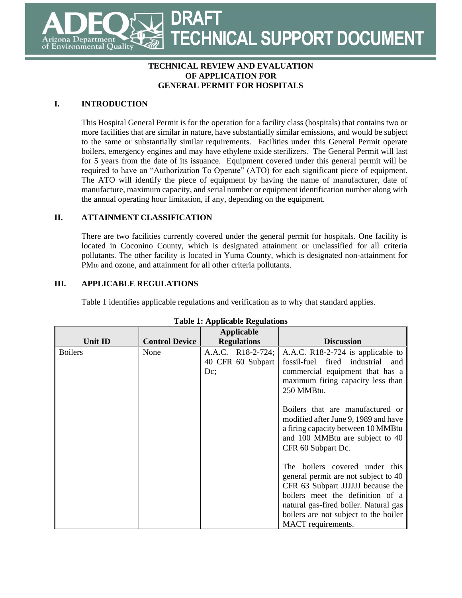# **DRAFT TECHNICAL SUPPORT DOCUMENT** Department Environmental Quality

### **TECHNICAL REVIEW AND EVALUATION OF APPLICATION FOR GENERAL PERMIT FOR HOSPITALS**

# **I. INTRODUCTION**

This Hospital General Permit is for the operation for a facility class (hospitals) that contains two or more facilities that are similar in nature, have substantially similar emissions, and would be subject to the same or substantially similar requirements. Facilities under this General Permit operate boilers, emergency engines and may have ethylene oxide sterilizers. The General Permit will last for 5 years from the date of its issuance. Equipment covered under this general permit will be required to have an "Authorization To Operate" (ATO) for each significant piece of equipment. The ATO will identify the piece of equipment by having the name of manufacturer, date of manufacture, maximum capacity, and serial number or equipment identification number along with the annual operating hour limitation, if any, depending on the equipment.

### **II. ATTAINMENT CLASSIFICATION**

There are two facilities currently covered under the general permit for hospitals. One facility is located in Coconino County, which is designated attainment or unclassified for all criteria pollutants. The other facility is located in Yuma County, which is designated non-attainment for PM<sub>10</sub> and ozone, and attainment for all other criteria pollutants.

### **III. APPLICABLE REGULATIONS**

Table 1 identifies applicable regulations and verification as to why that standard applies.

|                |                       | <b>Applicable</b>                                |                                                                                                                                                                                                                                                                                                                                  |
|----------------|-----------------------|--------------------------------------------------|----------------------------------------------------------------------------------------------------------------------------------------------------------------------------------------------------------------------------------------------------------------------------------------------------------------------------------|
| <b>Unit ID</b> | <b>Control Device</b> | <b>Regulations</b>                               | <b>Discussion</b>                                                                                                                                                                                                                                                                                                                |
| <b>Boilers</b> | None                  | A.A.C. R18-2-724;<br>40 CFR 60 Subpart<br>$Dc$ ; | A.A.C. R18-2-724 is applicable to<br>fired industrial<br>fossil-fuel<br>and<br>commercial equipment that has a<br>maximum firing capacity less than<br>250 MMBtu.<br>Boilers that are manufactured or<br>modified after June 9, 1989 and have<br>a firing capacity between 10 MMBtu                                              |
|                |                       |                                                  | and 100 MMBtu are subject to 40<br>CFR 60 Subpart Dc.<br>boilers covered under this<br>The <sub>1</sub><br>general permit are not subject to 40<br>CFR 63 Subpart JJJJJJ because the<br>boilers meet the definition of a<br>natural gas-fired boiler. Natural gas<br>boilers are not subject to the boiler<br>MACT requirements. |

#### **Table 1: Applicable Regulations**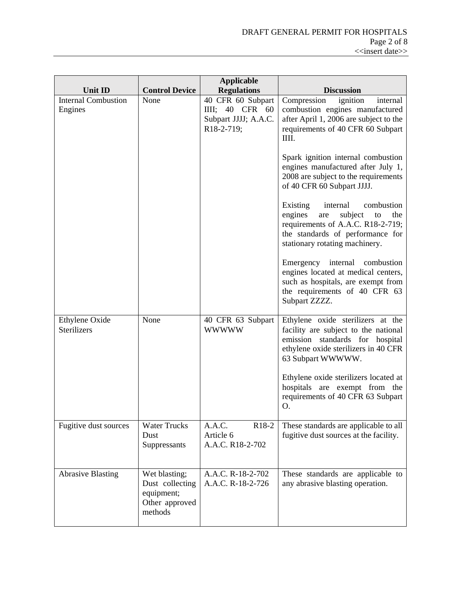| Unit ID                               | <b>Control Device</b>                                                       | <b>Applicable</b><br><b>Regulations</b>                                            | <b>Discussion</b>                                                                                                                                                                                                                                                                                                                                                                                                                                                                                                                                                                                                                                                           |
|---------------------------------------|-----------------------------------------------------------------------------|------------------------------------------------------------------------------------|-----------------------------------------------------------------------------------------------------------------------------------------------------------------------------------------------------------------------------------------------------------------------------------------------------------------------------------------------------------------------------------------------------------------------------------------------------------------------------------------------------------------------------------------------------------------------------------------------------------------------------------------------------------------------------|
| <b>Internal Combustion</b><br>Engines | None                                                                        | 40 CFR 60 Subpart<br>40 CFR<br>60<br>$III$ ;<br>Subpart JJJJ; A.A.C.<br>R18-2-719; | Compression<br>ignition<br>internal<br>combustion engines manufactured<br>after April 1, 2006 are subject to the<br>requirements of 40 CFR 60 Subpart<br>IIII.<br>Spark ignition internal combustion<br>engines manufactured after July 1,<br>2008 are subject to the requirements<br>of 40 CFR 60 Subpart JJJJ.<br>combustion<br>internal<br>Existing<br>engines<br>subject<br>are<br>the<br>to<br>requirements of A.A.C. R18-2-719;<br>the standards of performance for<br>stationary rotating machinery.<br>Emergency internal combustion<br>engines located at medical centers,<br>such as hospitals, are exempt from<br>the requirements of 40 CFR 63<br>Subpart ZZZZ. |
| Ethylene Oxide<br><b>Sterilizers</b>  | None                                                                        | 40 CFR 63 Subpart<br><b>WWWWW</b>                                                  | Ethylene oxide sterilizers at the<br>facility are subject to the national<br>emission standards for hospital<br>ethylene oxide sterilizers in 40 CFR<br>63 Subpart WWWWW.<br>Ethylene oxide sterilizers located at<br>hospitals are exempt from the<br>requirements of 40 CFR 63 Subpart<br>O.                                                                                                                                                                                                                                                                                                                                                                              |
| Fugitive dust sources                 | <b>Water Trucks</b><br>Dust<br>Suppressants                                 | A.A.C.<br>R <sub>18-2</sub><br>Article 6<br>A.A.C. R18-2-702                       | These standards are applicable to all<br>fugitive dust sources at the facility.                                                                                                                                                                                                                                                                                                                                                                                                                                                                                                                                                                                             |
| <b>Abrasive Blasting</b>              | Wet blasting;<br>Dust collecting<br>equipment;<br>Other approved<br>methods | A.A.C. R-18-2-702<br>A.A.C. R-18-2-726                                             | These standards are applicable to<br>any abrasive blasting operation.                                                                                                                                                                                                                                                                                                                                                                                                                                                                                                                                                                                                       |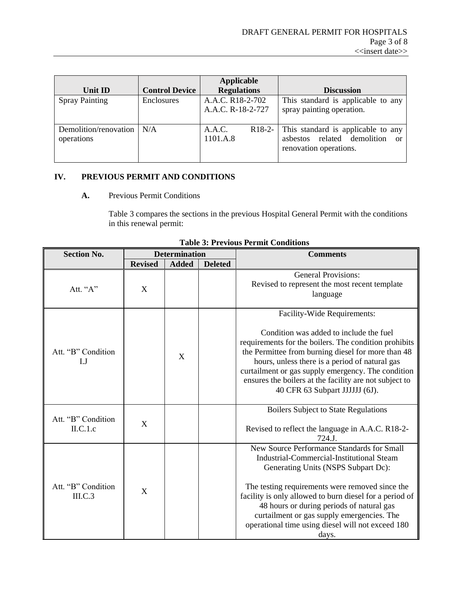| Unit ID                             | <b>Control Device</b> | <b>Applicable</b><br><b>Regulations</b> | <b>Discussion</b>                                                                              |
|-------------------------------------|-----------------------|-----------------------------------------|------------------------------------------------------------------------------------------------|
| <b>Spray Painting</b>               | Enclosures            | A.A.C. R18-2-702<br>A.A.C. R-18-2-727   | This standard is applicable to any<br>spray painting operation.                                |
| Demolition/renovation<br>operations | N/A                   | A.A.C.<br>$R18-2-$<br>1101.A.8          | This standard is applicable to any<br>asbestos related demolition or<br>renovation operations. |

# **IV. PREVIOUS PERMIT AND CONDITIONS**

### **A.** Previous Permit Conditions

Table 3 compares the sections in the previous Hospital General Permit with the conditions in this renewal permit:

| <b>Section No.</b>              | <b>Determination</b> |              |                | <b>Comments</b>                                                                                                                                                                                                                                                                                                                                                                                              |
|---------------------------------|----------------------|--------------|----------------|--------------------------------------------------------------------------------------------------------------------------------------------------------------------------------------------------------------------------------------------------------------------------------------------------------------------------------------------------------------------------------------------------------------|
|                                 | <b>Revised</b>       | <b>Added</b> | <b>Deleted</b> |                                                                                                                                                                                                                                                                                                                                                                                                              |
| Att. "A"                        | X                    |              |                | <b>General Provisions:</b><br>Revised to represent the most recent template<br>language                                                                                                                                                                                                                                                                                                                      |
| Att. "B" Condition<br>LJ        |                      | X            |                | Facility-Wide Requirements:<br>Condition was added to include the fuel<br>requirements for the boilers. The condition prohibits<br>the Permittee from burning diesel for more than 48<br>hours, unless there is a period of natural gas<br>curtailment or gas supply emergency. The condition<br>ensures the boilers at the facility are not subject to<br>40 CFR 63 Subpart JJJJJJ (6J).                    |
| Att. "B" Condition<br>ILC.1.c   | X                    |              |                | <b>Boilers Subject to State Regulations</b><br>Revised to reflect the language in A.A.C. R18-2-<br>$724$ J.                                                                                                                                                                                                                                                                                                  |
| Att. "B" Condition<br>$III.C.3$ | X                    |              |                | New Source Performance Standards for Small<br><b>Industrial-Commercial-Institutional Steam</b><br>Generating Units (NSPS Subpart Dc):<br>The testing requirements were removed since the<br>facility is only allowed to burn diesel for a period of<br>48 hours or during periods of natural gas<br>curtailment or gas supply emergencies. The<br>operational time using diesel will not exceed 180<br>days. |

#### **Table 3: Previous Permit Conditions**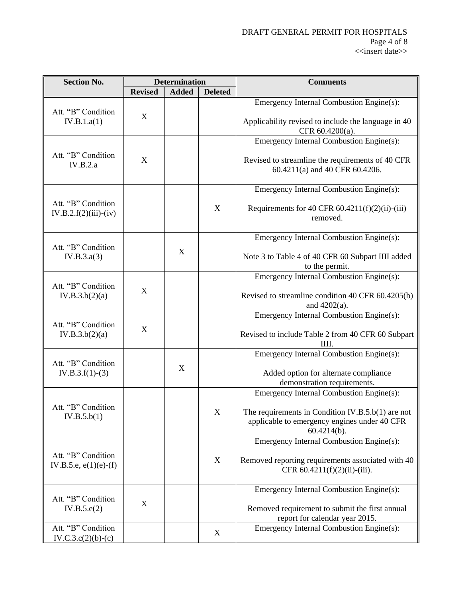| <b>Section No.</b>                             | <b>Determination</b> |              |                | <b>Comments</b>                                                                                                  |
|------------------------------------------------|----------------------|--------------|----------------|------------------------------------------------------------------------------------------------------------------|
|                                                | <b>Revised</b>       | <b>Added</b> | <b>Deleted</b> |                                                                                                                  |
| Att. "B" Condition                             |                      |              |                | Emergency Internal Combustion Engine(s):                                                                         |
| IV.B.1.a(1)                                    | X                    |              |                | Applicability revised to include the language in 40<br>CFR 60.4200(a).                                           |
|                                                |                      |              |                | Emergency Internal Combustion Engine(s):                                                                         |
| Att. "B" Condition<br>IV.B.2.a                 | X                    |              |                | Revised to streamline the requirements of 40 CFR<br>60.4211(a) and 40 CFR 60.4206.                               |
|                                                |                      |              |                | Emergency Internal Combustion Engine(s):                                                                         |
| Att. "B" Condition<br>$IV.B.2.f(2)(iii)-(iv)$  |                      |              | X              | Requirements for 40 CFR $60.4211(f)(2)(ii)$ -(iii)<br>removed.                                                   |
|                                                |                      |              |                | Emergency Internal Combustion Engine(s):                                                                         |
| Att. "B" Condition<br>IV.B.3.a(3)              |                      | X            |                | Note 3 to Table 4 of 40 CFR 60 Subpart IIII added<br>to the permit.                                              |
|                                                |                      |              |                | Emergency Internal Combustion Engine(s):                                                                         |
| Att. "B" Condition<br>IV.B.3.b(2)(a)           | X                    |              |                | Revised to streamline condition 40 CFR 60.4205(b)<br>and 4202(a).                                                |
|                                                |                      |              |                | Emergency Internal Combustion Engine(s):                                                                         |
| Att. "B" Condition<br>IV.B.3.b(2)(a)           | X                    |              |                | Revised to include Table 2 from 40 CFR 60 Subpart<br>ШI.                                                         |
|                                                |                      |              |                | Emergency Internal Combustion Engine(s):                                                                         |
| Att. "B" Condition<br>$IV.B.3.f(1)-(3)$        |                      | $\mathbf X$  |                | Added option for alternate compliance<br>demonstration requirements.                                             |
|                                                |                      |              |                | Emergency Internal Combustion Engine(s):                                                                         |
| Att. "B" Condition<br>IV.B.5.b(1)              |                      |              | X              | The requirements in Condition IV.B.5.b(1) are not<br>applicable to emergency engines under 40 CFR<br>60.4214(b). |
|                                                |                      |              |                | Emergency Internal Combustion Engine(s):                                                                         |
| Att. "B" Condition<br>IV.B.5.e, $e(1)(e)$ -(f) |                      |              | X              | Removed reporting requirements associated with 40<br>CFR $60.4211(f)(2)(ii)$ -(iii).                             |
|                                                |                      |              |                | Emergency Internal Combustion Engine(s):                                                                         |
| Att. "B" Condition<br>IV.B.5.e(2)              | X                    |              |                | Removed requirement to submit the first annual<br>report for calendar year 2015.                                 |
| Att. "B" Condition<br>$IV.C.3.c(2)(b)-(c)$     |                      |              | X              | Emergency Internal Combustion Engine(s):                                                                         |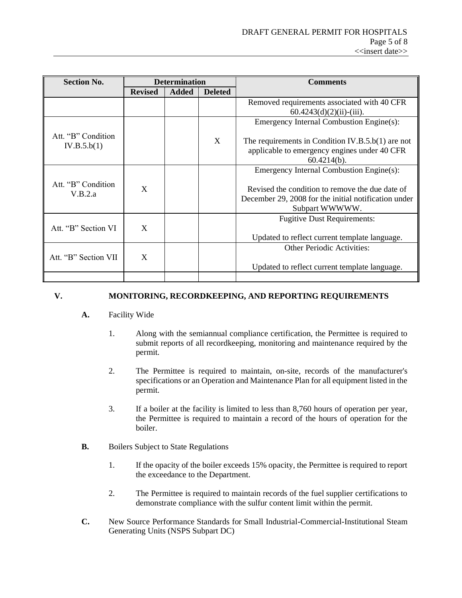| <b>Section No.</b>            | <b>Determination</b> |              |                | <b>Comments</b>                                                                                                           |
|-------------------------------|----------------------|--------------|----------------|---------------------------------------------------------------------------------------------------------------------------|
|                               | <b>Revised</b>       | <b>Added</b> | <b>Deleted</b> |                                                                                                                           |
|                               |                      |              |                | Removed requirements associated with 40 CFR<br>$60.4243(d)(2)(ii) - (iii)$ .                                              |
| Att. "B" Condition            |                      |              |                | Emergency Internal Combustion Engine(s):                                                                                  |
| IV.B.5.b(1)                   |                      |              | X              | The requirements in Condition IV.B.5.b(1) are not<br>applicable to emergency engines under 40 CFR<br>$60.4214(b)$ .       |
|                               |                      |              |                | Emergency Internal Combustion Engine(s):                                                                                  |
| Att. "B" Condition<br>V.B.2.a | X                    |              |                | Revised the condition to remove the due date of<br>December 29, 2008 for the initial notification under<br>Subpart WWWWW. |
| Att. "B" Section VI           | X                    |              |                | <b>Fugitive Dust Requirements:</b>                                                                                        |
|                               |                      |              |                | Updated to reflect current template language.                                                                             |
| Att. "B" Section VII          | X                    |              |                | <b>Other Periodic Activities:</b>                                                                                         |
|                               |                      |              |                | Updated to reflect current template language.                                                                             |
|                               |                      |              |                |                                                                                                                           |

### **V. MONITORING, RECORDKEEPING, AND REPORTING REQUIREMENTS**

### **A.** Facility Wide

- 1. Along with the semiannual compliance certification, the Permittee is required to submit reports of all recordkeeping, monitoring and maintenance required by the permit.
- 2. The Permittee is required to maintain, on-site, records of the manufacturer's specifications or an Operation and Maintenance Plan for all equipment listed in the permit.
- 3. If a boiler at the facility is limited to less than 8,760 hours of operation per year, the Permittee is required to maintain a record of the hours of operation for the boiler.
- **B.** Boilers Subject to State Regulations
	- 1. If the opacity of the boiler exceeds 15% opacity, the Permittee is required to report the exceedance to the Department.
	- 2. The Permittee is required to maintain records of the fuel supplier certifications to demonstrate compliance with the sulfur content limit within the permit.
- **C.** New Source Performance Standards for Small Industrial-Commercial-Institutional Steam Generating Units (NSPS Subpart DC)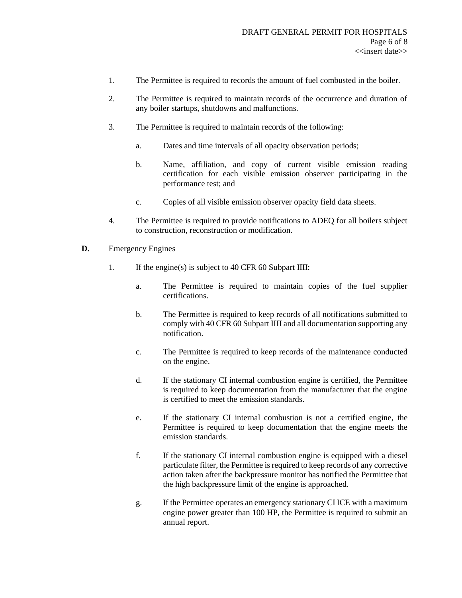- 1. The Permittee is required to records the amount of fuel combusted in the boiler.
- 2. The Permittee is required to maintain records of the occurrence and duration of any boiler startups, shutdowns and malfunctions.
- 3. The Permittee is required to maintain records of the following:
	- a. Dates and time intervals of all opacity observation periods;
	- b. Name, affiliation, and copy of current visible emission reading certification for each visible emission observer participating in the performance test; and
	- c. Copies of all visible emission observer opacity field data sheets.
- 4. The Permittee is required to provide notifications to ADEQ for all boilers subject to construction, reconstruction or modification.
- **D.** Emergency Engines
	- 1. If the engine(s) is subject to 40 CFR 60 Subpart IIII:
		- a. The Permittee is required to maintain copies of the fuel supplier certifications.
		- b. The Permittee is required to keep records of all notifications submitted to comply with 40 CFR 60 Subpart IIII and all documentation supporting any notification.
		- c. The Permittee is required to keep records of the maintenance conducted on the engine.
		- d. If the stationary CI internal combustion engine is certified, the Permittee is required to keep documentation from the manufacturer that the engine is certified to meet the emission standards.
		- e. If the stationary CI internal combustion is not a certified engine, the Permittee is required to keep documentation that the engine meets the emission standards.
		- f. If the stationary CI internal combustion engine is equipped with a diesel particulate filter, the Permittee is required to keep records of any corrective action taken after the backpressure monitor has notified the Permittee that the high backpressure limit of the engine is approached.
		- g. If the Permittee operates an emergency stationary CI ICE with a maximum engine power greater than 100 HP, the Permittee is required to submit an annual report.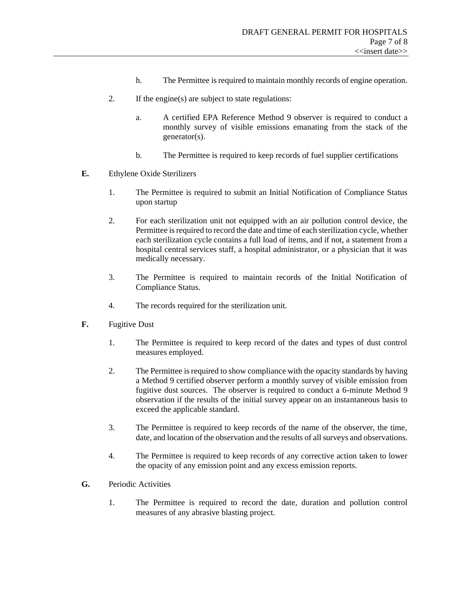- h. The Permittee is required to maintain monthly records of engine operation.
- 2. If the engine(s) are subject to state regulations:
	- a. A certified EPA Reference Method 9 observer is required to conduct a monthly survey of visible emissions emanating from the stack of the generator(s).
	- b. The Permittee is required to keep records of fuel supplier certifications
- **E.** Ethylene Oxide Sterilizers
	- 1. The Permittee is required to submit an Initial Notification of Compliance Status upon startup
	- 2. For each sterilization unit not equipped with an air pollution control device, the Permittee is required to record the date and time of each sterilization cycle, whether each sterilization cycle contains a full load of items, and if not, a statement from a hospital central services staff, a hospital administrator, or a physician that it was medically necessary.
	- 3. The Permittee is required to maintain records of the Initial Notification of Compliance Status.
	- 4. The records required for the sterilization unit.
- **F.** Fugitive Dust
	- 1. The Permittee is required to keep record of the dates and types of dust control measures employed.
	- 2. The Permittee is required to show compliance with the opacity standards by having a Method 9 certified observer perform a monthly survey of visible emission from fugitive dust sources. The observer is required to conduct a 6-minute Method 9 observation if the results of the initial survey appear on an instantaneous basis to exceed the applicable standard.
	- 3. The Permittee is required to keep records of the name of the observer, the time, date, and location of the observation and the results of all surveys and observations.
	- 4. The Permittee is required to keep records of any corrective action taken to lower the opacity of any emission point and any excess emission reports.
- **G.** Periodic Activities
	- 1. The Permittee is required to record the date, duration and pollution control measures of any abrasive blasting project.